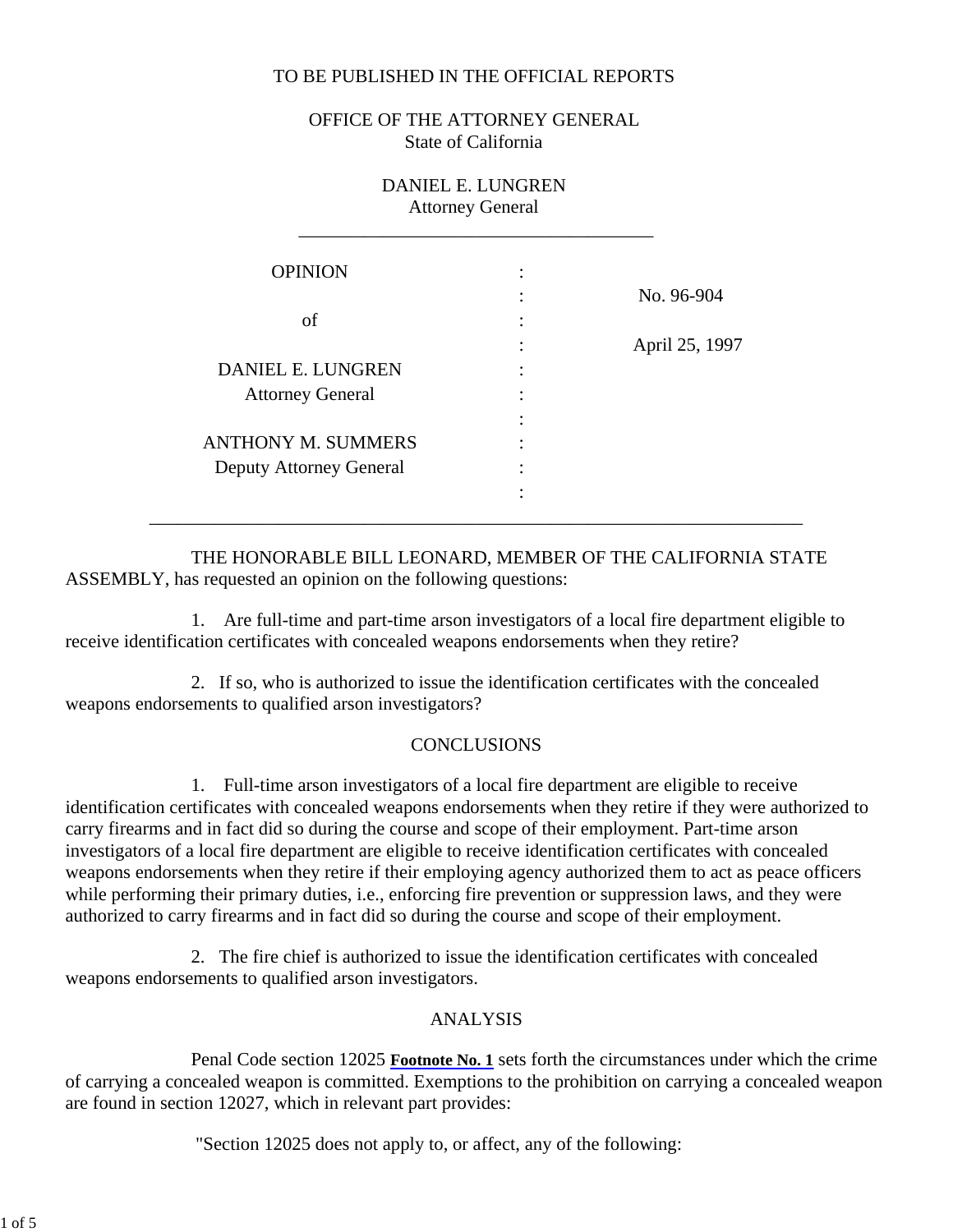# TO BE PUBLISHED IN THE OFFICIAL REPORTS

OFFICE OF THE ATTORNEY GENERAL State of California

| DANIEL E. LUNGREN<br><b>Attorney General</b> |                |                |
|----------------------------------------------|----------------|----------------|
| <b>OPINION</b>                               | ٠<br>$\bullet$ |                |
|                                              |                | No. 96-904     |
| of                                           |                |                |
|                                              | ٠              | April 25, 1997 |
| DANIEL E. LUNGREN                            |                |                |
| <b>Attorney General</b>                      |                |                |
|                                              |                |                |
| <b>ANTHONY M. SUMMERS</b>                    |                |                |
| <b>Deputy Attorney General</b>               |                |                |
|                                              | ٠              |                |
|                                              |                |                |

 THE HONORABLE BILL LEONARD, MEMBER OF THE CALIFORNIA STATE ASSEMBLY, has requested an opinion on the following questions:

 1. Are full-time and part-time arson investigators of a local fire department eligible to receive identification certificates with concealed weapons endorsements when they retire?

 2. If so, who is authorized to issue the identification certificates with the concealed weapons endorsements to qualified arson investigators?

## **CONCLUSIONS**

 1. Full-time arson investigators of a local fire department are eligible to receive identification certificates with concealed weapons endorsements when they retire if they were authorized to carry firearms and in fact did so during the course and scope of their employment. Part-time arson investigators of a local fire department are eligible to receive identification certificates with concealed weapons endorsements when they retire if their employing agency authorized them to act as peace officers while performing their primary duties, i.e., enforcing fire prevention or suppression laws, and they were authorized to carry firearms and in fact did so during the course and scope of their employment.

 2. The fire chief is authorized to issue the identification certificates with concealed weapons endorsements to qualified arson investigators.

## ANALYSIS

 Penal Code section 12025 **Footnote No. 1** sets forth the circumstances under which the crime of carrying a concealed weapon is committed. Exemptions to the prohibition on carrying a concealed weapon are found in section 12027, which in relevant part provides:

"Section 12025 does not apply to, or affect, any of the following: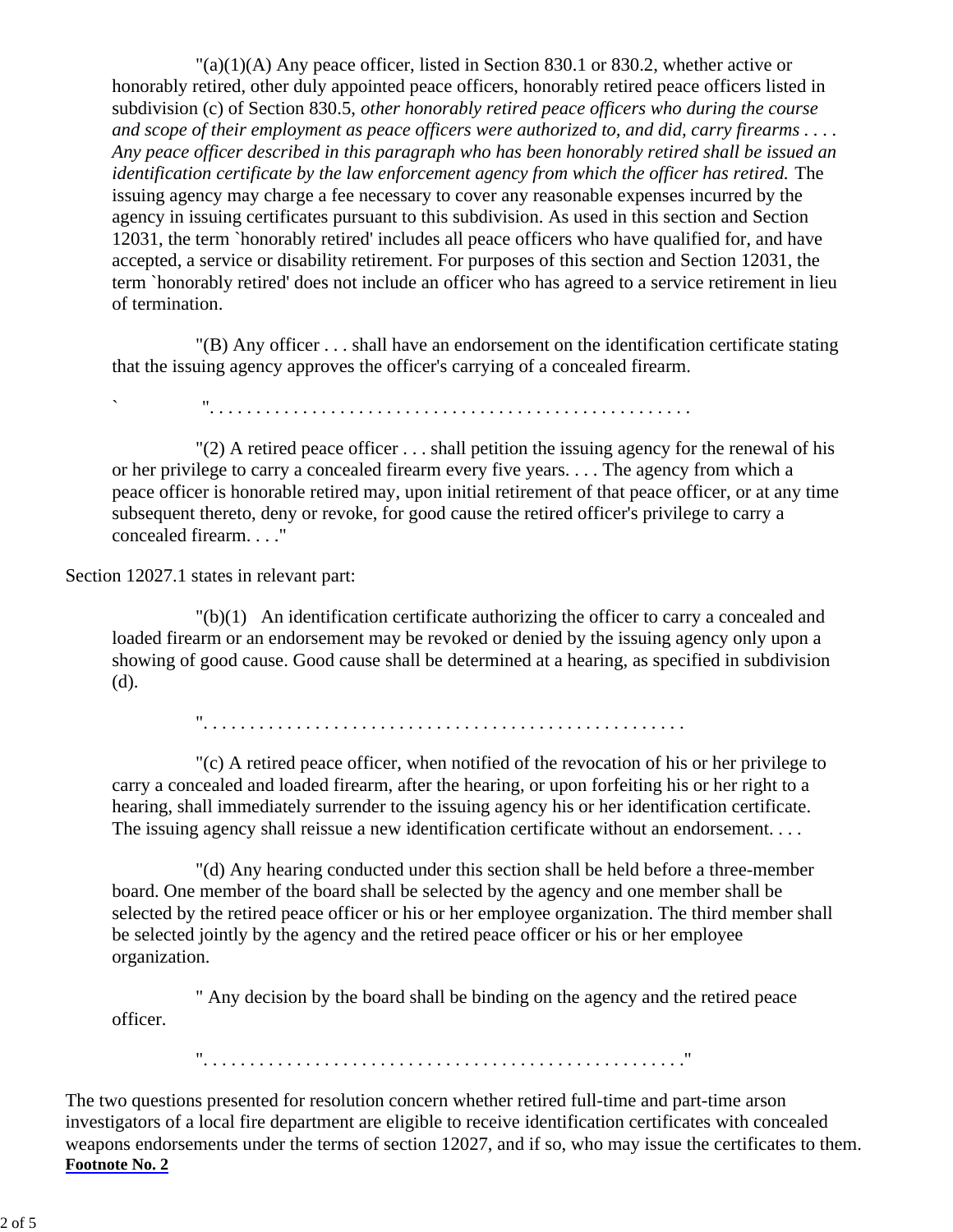$\Gamma$ (a)(1)(A) Any peace officer, listed in Section 830.1 or 830.2, whether active or honorably retired, other duly appointed peace officers, honorably retired peace officers listed in subdivision (c) of Section 830.5, *other honorably retired peace officers who during the course and scope of their employment as peace officers were authorized to, and did, carry firearms . . . . Any peace officer described in this paragraph who has been honorably retired shall be issued an identification certificate by the law enforcement agency from which the officer has retired.* The issuing agency may charge a fee necessary to cover any reasonable expenses incurred by the agency in issuing certificates pursuant to this subdivision. As used in this section and Section 12031, the term `honorably retired' includes all peace officers who have qualified for, and have accepted, a service or disability retirement. For purposes of this section and Section 12031, the term `honorably retired' does not include an officer who has agreed to a service retirement in lieu of termination.

 "(B) Any officer . . . shall have an endorsement on the identification certificate stating that the issuing agency approves the officer's carrying of a concealed firearm.

` ". . . . . . . . . . . . . . . . . . . . . . . . . . . . . . . . . . . . . . . . . . . . . . . . . . . .

 $'(2)$  A retired peace officer ... shall petition the issuing agency for the renewal of his or her privilege to carry a concealed firearm every five years. . . . The agency from which a peace officer is honorable retired may, upon initial retirement of that peace officer, or at any time subsequent thereto, deny or revoke, for good cause the retired officer's privilege to carry a concealed firearm. . . ."

Section 12027.1 states in relevant part:

 "(b)(1) An identification certificate authorizing the officer to carry a concealed and loaded firearm or an endorsement may be revoked or denied by the issuing agency only upon a showing of good cause. Good cause shall be determined at a hearing, as specified in subdivision (d).

". . . . . . . . . . . . . . . . . . . . . . . . . . . . . . . . . . . . . . . . . . . . . . . . . . . .

 "(c) A retired peace officer, when notified of the revocation of his or her privilege to carry a concealed and loaded firearm, after the hearing, or upon forfeiting his or her right to a hearing, shall immediately surrender to the issuing agency his or her identification certificate. The issuing agency shall reissue a new identification certificate without an endorsement. . . .

 "(d) Any hearing conducted under this section shall be held before a three-member board. One member of the board shall be selected by the agency and one member shall be selected by the retired peace officer or his or her employee organization. The third member shall be selected jointly by the agency and the retired peace officer or his or her employee organization.

 " Any decision by the board shall be binding on the agency and the retired peace officer.

". . . . . . . . . . . . . . . . . . . . . . . . . . . . . . . . . . . . . . . . . . . . . . . . . . . ."

The two questions presented for resolution concern whether retired full-time and part-time arson investigators of a local fire department are eligible to receive identification certificates with concealed weapons endorsements under the terms of section 12027, and if so, who may issue the certificates to them. **Footnote No. 2**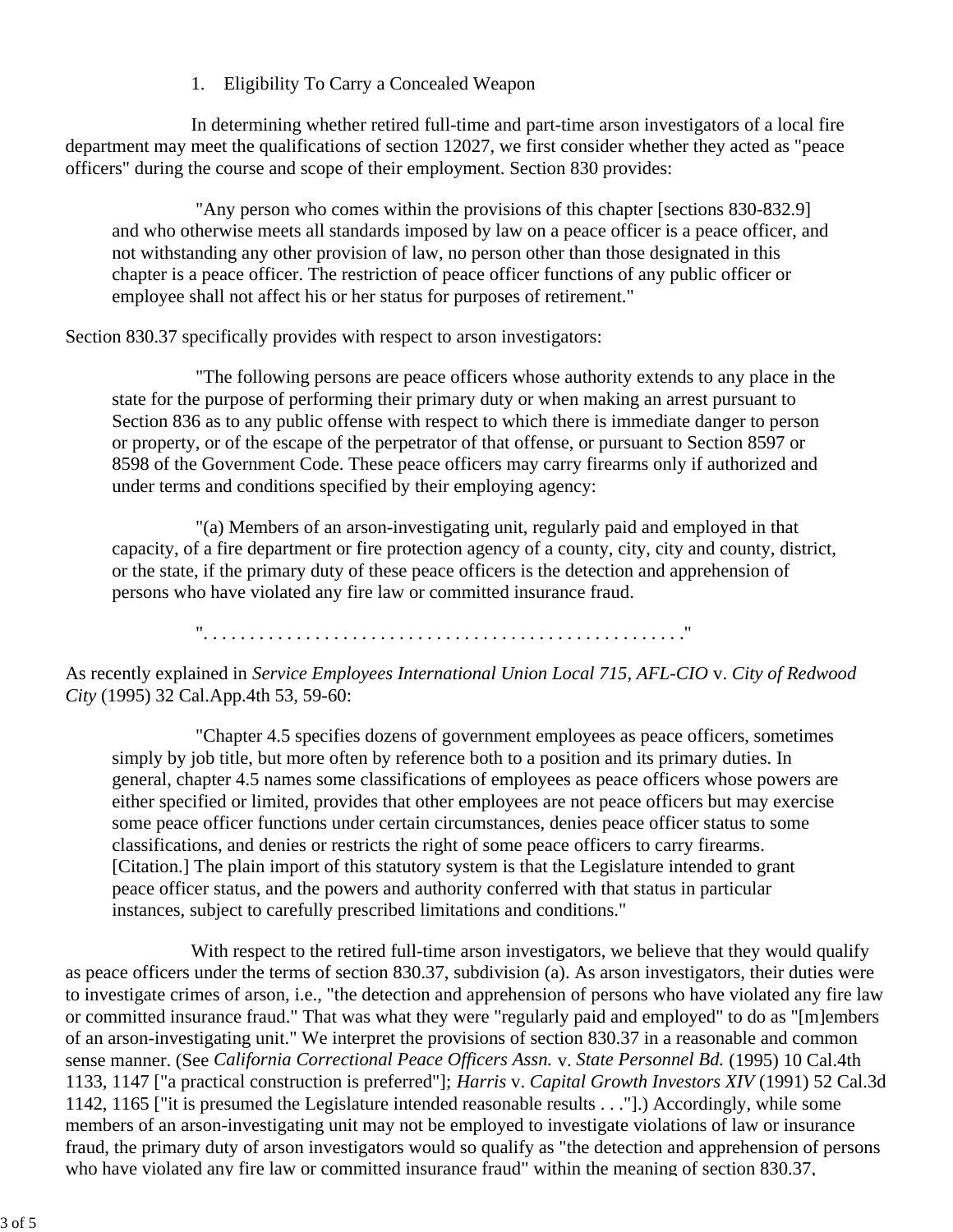# 1. Eligibility To Carry a Concealed Weapon

 In determining whether retired full-time and part-time arson investigators of a local fire department may meet the qualifications of section 12027, we first consider whether they acted as "peace officers" during the course and scope of their employment. Section 830 provides:

 "Any person who comes within the provisions of this chapter [sections 830-832.9] and who otherwise meets all standards imposed by law on a peace officer is a peace officer, and not withstanding any other provision of law, no person other than those designated in this chapter is a peace officer. The restriction of peace officer functions of any public officer or employee shall not affect his or her status for purposes of retirement."

# Section 830.37 specifically provides with respect to arson investigators:

 "The following persons are peace officers whose authority extends to any place in the state for the purpose of performing their primary duty or when making an arrest pursuant to Section 836 as to any public offense with respect to which there is immediate danger to person or property, or of the escape of the perpetrator of that offense, or pursuant to Section 8597 or 8598 of the Government Code. These peace officers may carry firearms only if authorized and under terms and conditions specified by their employing agency:

 "(a) Members of an arson-investigating unit, regularly paid and employed in that capacity, of a fire department or fire protection agency of a county, city, city and county, district, or the state, if the primary duty of these peace officers is the detection and apprehension of persons who have violated any fire law or committed insurance fraud.

". . . . . . . . . . . . . . . . . . . . . . . . . . . . . . . . . . . . . . . . . . . . . . . . . . . ."

As recently explained in *Service Employees International Union Local 715, AFL-CIO* v. *City of Redwood City* (1995) 32 Cal.App.4th 53, 59-60:

 "Chapter 4.5 specifies dozens of government employees as peace officers, sometimes simply by job title, but more often by reference both to a position and its primary duties. In general, chapter 4.5 names some classifications of employees as peace officers whose powers are either specified or limited, provides that other employees are not peace officers but may exercise some peace officer functions under certain circumstances, denies peace officer status to some classifications, and denies or restricts the right of some peace officers to carry firearms. [Citation.] The plain import of this statutory system is that the Legislature intended to grant peace officer status, and the powers and authority conferred with that status in particular instances, subject to carefully prescribed limitations and conditions."

With respect to the retired full-time arson investigators, we believe that they would qualify as peace officers under the terms of section 830.37, subdivision (a). As arson investigators, their duties were to investigate crimes of arson, i.e., "the detection and apprehension of persons who have violated any fire law or committed insurance fraud." That was what they were "regularly paid and employed" to do as "[m]embers of an arson-investigating unit." We interpret the provisions of section 830.37 in a reasonable and common sense manner. (See *California Correctional Peace Officers Assn.* v. *State Personnel Bd.* (1995) 10 Cal.4th 1133, 1147 ["a practical construction is preferred"]; *Harris* v. *Capital Growth Investors XIV* (1991) 52 Cal.3d 1142, 1165 ["it is presumed the Legislature intended reasonable results . . ."].) Accordingly, while some members of an arson-investigating unit may not be employed to investigate violations of law or insurance fraud, the primary duty of arson investigators would so qualify as "the detection and apprehension of persons who have violated any fire law or committed insurance fraud" within the meaning of section 830.37,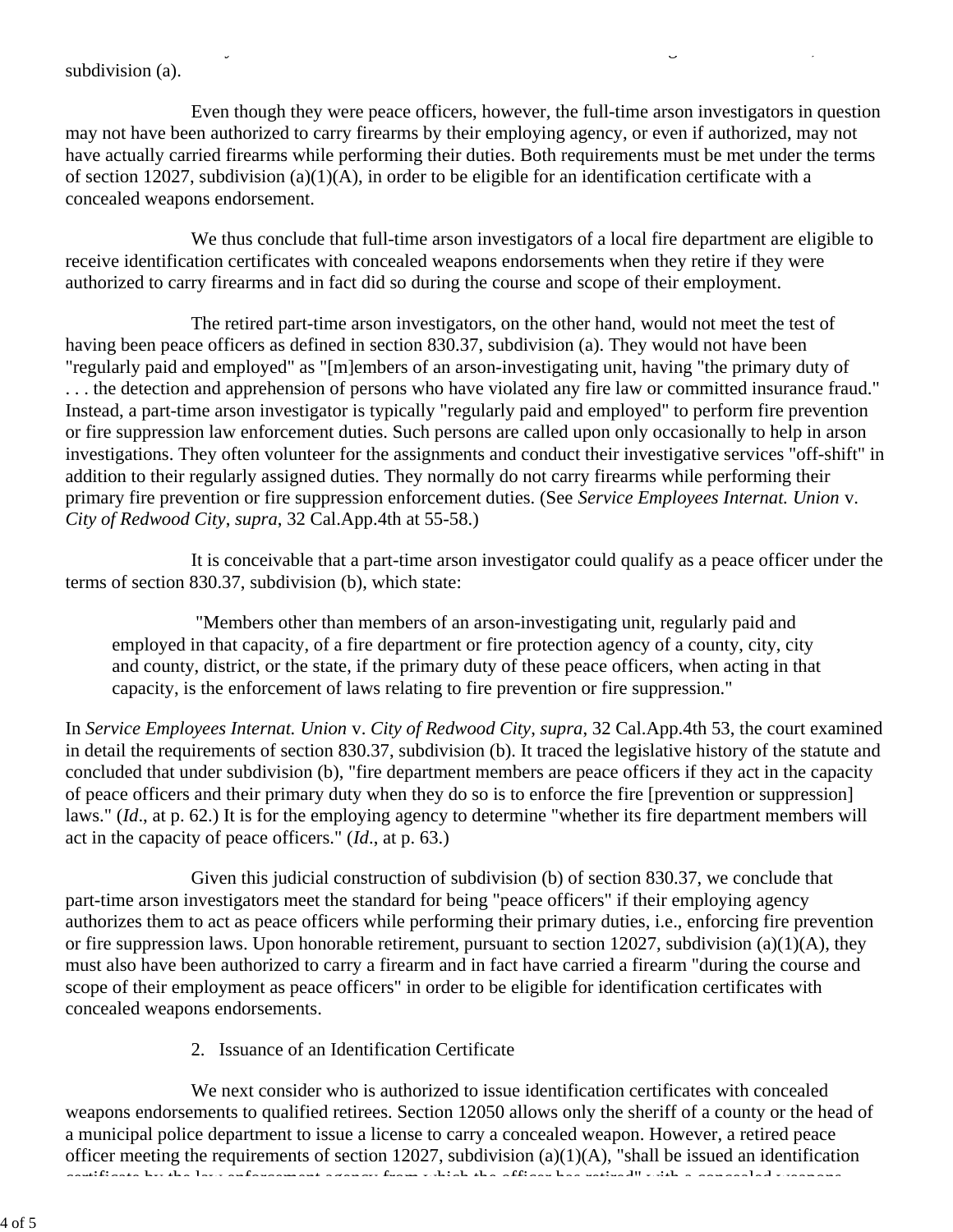#### subdivision (a).

 Even though they were peace officers, however, the full-time arson investigators in question may not have been authorized to carry firearms by their employing agency, or even if authorized, may not have actually carried firearms while performing their duties. Both requirements must be met under the terms of section 12027, subdivision (a)(1)(A), in order to be eligible for an identification certificate with a concealed weapons endorsement.

 $\mathcal{L}$  g, and the contract of the contract of the contract of the contract of the contract of the contract of the contract of the contract of the contract of the contract of the contract of the contract of the contract

 We thus conclude that full-time arson investigators of a local fire department are eligible to receive identification certificates with concealed weapons endorsements when they retire if they were authorized to carry firearms and in fact did so during the course and scope of their employment.

 The retired part-time arson investigators, on the other hand, would not meet the test of having been peace officers as defined in section 830.37, subdivision (a). They would not have been "regularly paid and employed" as "[m]embers of an arson-investigating unit, having "the primary duty of . . . the detection and apprehension of persons who have violated any fire law or committed insurance fraud." Instead, a part-time arson investigator is typically "regularly paid and employed" to perform fire prevention or fire suppression law enforcement duties. Such persons are called upon only occasionally to help in arson investigations. They often volunteer for the assignments and conduct their investigative services "off-shift" in addition to their regularly assigned duties. They normally do not carry firearms while performing their primary fire prevention or fire suppression enforcement duties. (See *Service Employees Internat. Union* v. *City of Redwood City*, *supra*, 32 Cal.App.4th at 55-58.)

 It is conceivable that a part-time arson investigator could qualify as a peace officer under the terms of section 830.37, subdivision (b), which state:

 "Members other than members of an arson-investigating unit, regularly paid and employed in that capacity, of a fire department or fire protection agency of a county, city, city and county, district, or the state, if the primary duty of these peace officers, when acting in that capacity, is the enforcement of laws relating to fire prevention or fire suppression."

In *Service Employees Internat. Union* v. *City of Redwood City*, *supra*, 32 Cal.App.4th 53, the court examined in detail the requirements of section 830.37, subdivision (b). It traced the legislative history of the statute and concluded that under subdivision (b), "fire department members are peace officers if they act in the capacity of peace officers and their primary duty when they do so is to enforce the fire [prevention or suppression] laws." (*Id*., at p. 62.) It is for the employing agency to determine "whether its fire department members will act in the capacity of peace officers." (*Id*., at p. 63.)

 Given this judicial construction of subdivision (b) of section 830.37, we conclude that part-time arson investigators meet the standard for being "peace officers" if their employing agency authorizes them to act as peace officers while performing their primary duties, i.e., enforcing fire prevention or fire suppression laws. Upon honorable retirement, pursuant to section 12027, subdivision (a)(1)(A), they must also have been authorized to carry a firearm and in fact have carried a firearm "during the course and scope of their employment as peace officers" in order to be eligible for identification certificates with concealed weapons endorsements.

2. Issuance of an Identification Certificate

We next consider who is authorized to issue identification certificates with concealed weapons endorsements to qualified retirees. Section 12050 allows only the sheriff of a county or the head of a municipal police department to issue a license to carry a concealed weapon. However, a retired peace officer meeting the requirements of section 12027, subdivision (a)(1)(A), "shall be issued an identification certificate by the law enforcement agency from which the officer has retired" with a concealed weapons